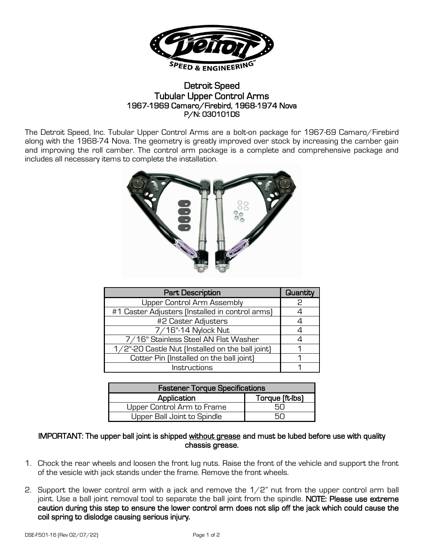

## Detroit Speed Tubular Upper Control Arms 1967-1969 Camaro/Firebird, 1968-1974 Nova P/N: 030101DS

The Detroit Speed, Inc. Tubular Upper Control Arms are a bolt-on package for 1967-69 Camaro/Firebird along with the 1968-74 Nova. The geometry is greatly improved over stock by increasing the camber gain and improving the roll camber. The control arm package is a complete and comprehensive package and includes all necessary items to complete the installation.



| <b>Part Description</b>                          | Quantity |
|--------------------------------------------------|----------|
| <b>Upper Control Arm Assembly</b>                | כ        |
| #1 Caster Adjusters (Installed in control arms)  |          |
| #2 Caster Adjusters                              |          |
| 7/16"-14 Nylock Nut                              |          |
| 7/16" Stainless Steel AN Flat Washer             |          |
| 1/2"-20 Castle Nut (Installed on the ball joint) |          |
| Cotter Pin (Installed on the ball joint)         |          |
| Instructions                                     |          |

| <b>Fastener Torque Specifications</b> |                 |  |
|---------------------------------------|-----------------|--|
| Application                           | Torque (ft-lbs) |  |
| Upper Control Arm to Frame            |                 |  |
| Upper Ball Joint to Spindle           |                 |  |

## IMPORTANT: The upper ball joint is shipped without grease and must be lubed before use with quality chassis grease.

- 1. Chock the rear wheels and loosen the front lug nuts. Raise the front of the vehicle and support the front of the vesicle with jack stands under the frame. Remove the front wheels.
- 2. Support the lower control arm with a jack and remove the  $1/2$ " nut from the upper control arm ball joint. Use a ball joint removal tool to separate the ball joint from the spindle. NOTE: Please use extreme caution during this step to ensure the lower control arm does not slip off the jack which could cause the coil spring to dislodge causing serious injury.